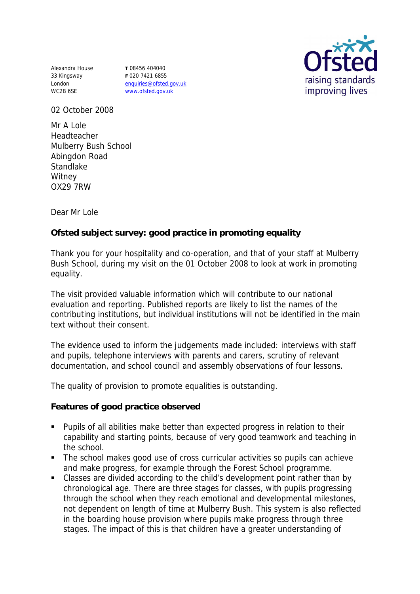Alexandra House **T** 08456 404040 33 Kingsway London WC2B 6SE

**F** 020 7421 6855 enquiries@ofsted.gov.uk www.ofsted.gov.uk



02 October 2008

Mr A Lole Headteacher Mulberry Bush School Abingdon Road **Standlake Witney** OX29 7RW

Dear Mr Lole

**Ofsted subject survey: good practice in promoting equality** 

Thank you for your hospitality and co-operation, and that of your staff at Mulberry Bush School, during my visit on the 01 October 2008 to look at work in promoting equality.

The visit provided valuable information which will contribute to our national evaluation and reporting. Published reports are likely to list the names of the contributing institutions, but individual institutions will not be identified in the main text without their consent.

The evidence used to inform the judgements made included: interviews with staff and pupils, telephone interviews with parents and carers, scrutiny of relevant documentation, and school council and assembly observations of four lessons.

The quality of provision to promote equalities is outstanding.

**Features of good practice observed**

- Pupils of all abilities make better than expected progress in relation to their capability and starting points, because of very good teamwork and teaching in the school.
- The school makes good use of cross curricular activities so pupils can achieve and make progress, for example through the Forest School programme.
- Classes are divided according to the child's development point rather than by chronological age. There are three stages for classes, with pupils progressing through the school when they reach emotional and developmental milestones, not dependent on length of time at Mulberry Bush. This system is also reflected in the boarding house provision where pupils make progress through three stages. The impact of this is that children have a greater understanding of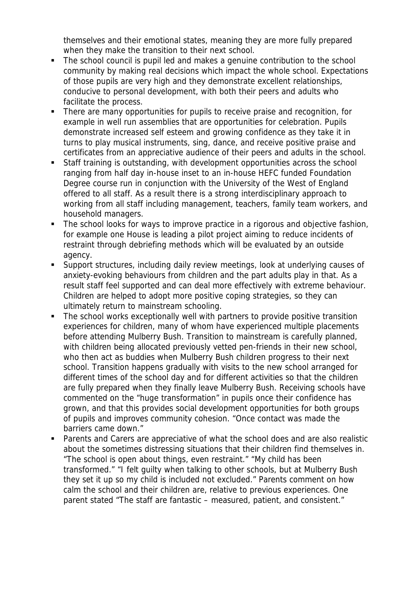themselves and their emotional states, meaning they are more fully prepared when they make the transition to their next school.

- The school council is pupil led and makes a genuine contribution to the school community by making real decisions which impact the whole school. Expectations of those pupils are very high and they demonstrate excellent relationships, conducive to personal development, with both their peers and adults who facilitate the process.
- There are many opportunities for pupils to receive praise and recognition, for example in well run assemblies that are opportunities for celebration. Pupils demonstrate increased self esteem and growing confidence as they take it in turns to play musical instruments, sing, dance, and receive positive praise and certificates from an appreciative audience of their peers and adults in the school.
- Staff training is outstanding, with development opportunities across the school ranging from half day in-house inset to an in-house HEFC funded Foundation Degree course run in conjunction with the University of the West of England offered to all staff. As a result there is a strong interdisciplinary approach to working from all staff including management, teachers, family team workers, and household managers.
- The school looks for ways to improve practice in a rigorous and objective fashion, for example one House is leading a pilot project aiming to reduce incidents of restraint through debriefing methods which will be evaluated by an outside agency.
- Support structures, including daily review meetings, look at underlying causes of anxiety-evoking behaviours from children and the part adults play in that. As a result staff feel supported and can deal more effectively with extreme behaviour. Children are helped to adopt more positive coping strategies, so they can ultimately return to mainstream schooling.
- The school works exceptionally well with partners to provide positive transition experiences for children, many of whom have experienced multiple placements before attending Mulberry Bush. Transition to mainstream is carefully planned, with children being allocated previously vetted pen-friends in their new school, who then act as buddies when Mulberry Bush children progress to their next school. Transition happens gradually with visits to the new school arranged for different times of the school day and for different activities so that the children are fully prepared when they finally leave Mulberry Bush. Receiving schools have commented on the "huge transformation" in pupils once their confidence has grown, and that this provides social development opportunities for both groups of pupils and improves community cohesion. "Once contact was made the barriers came down."
- Parents and Carers are appreciative of what the school does and are also realistic about the sometimes distressing situations that their children find themselves in. "The school is open about things, even restraint." "My child has been transformed." "I felt guilty when talking to other schools, but at Mulberry Bush they set it up so my child is included not excluded." Parents comment on how calm the school and their children are, relative to previous experiences. One parent stated "The staff are fantastic – measured, patient, and consistent."